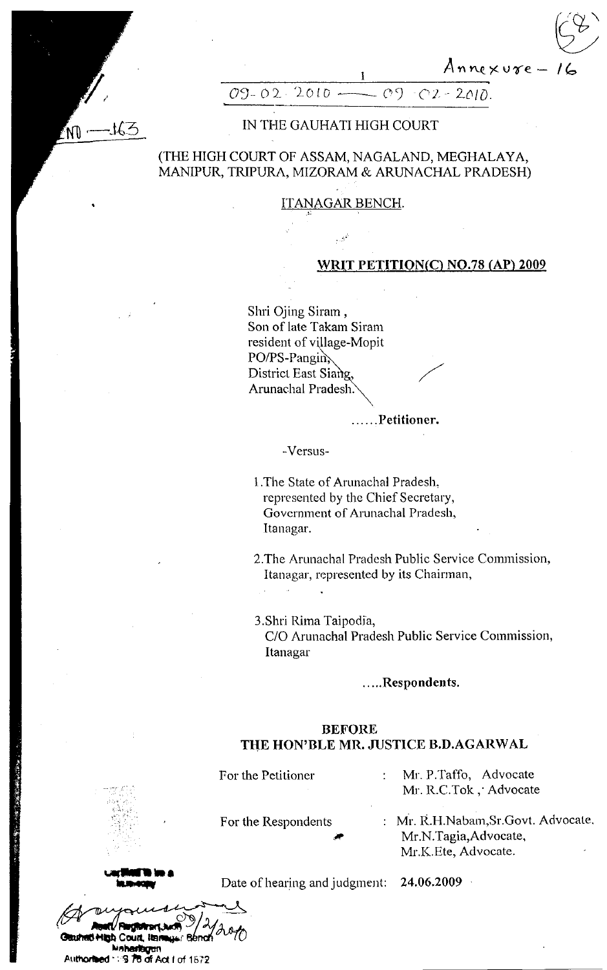$Annexure-$ 



#### $O9 - O2$  $2010.4$  $O<sub>2</sub>$  $-02 - 2010$

# IN THE GAUHATI HIGH COURT

## (THE HIGH COURT OF ASSAM, NAGALAND, MEGHALAYA, MANIPUR, TRIPURA, MIZORAM & ARUNACHAL PRADESH)

## **ITANAGAR BENCH.**

## WRIT PETITION(C) NO.78 (AP) 2009

Shri Ojing Siram, Son of late Takam Siram resident of village-Mopit PO/PS-Pangin District East Siang, Arunachal Pradesh.

......Petitioner.

-Versus-

1. The State of Arunachal Pradesh. represented by the Chief Secretary, Government of Arunachal Pradesh, Itanagar.

2. The Arunachal Pradesh Public Service Commission, Itanagar, represented by its Chairman,

3.Shri Rima Taipodia, C/O Arunachal Pradesh Public Service Commission, Itanagar

### .....Respondents.

## **BEFORE** THE HON'BLE MR. JUSTICE B.D.AGARWAL

| For the Petitioner  | Mr. P.Taffo, Advocate<br>Mr. R.C.Tok, Advocate                                      |
|---------------------|-------------------------------------------------------------------------------------|
| For the Respondents | : Mr. R.H.Nabam, Sr. Govt. Advocate<br>Mr.N.Tagia, Advocate,<br>Mr.K.Ete, Advocate. |

**SHigh Court, Ign** Maharlagan Authorhood 1:19 78 of Act I of 1672 Date of hearing and judgment: 24.06.2009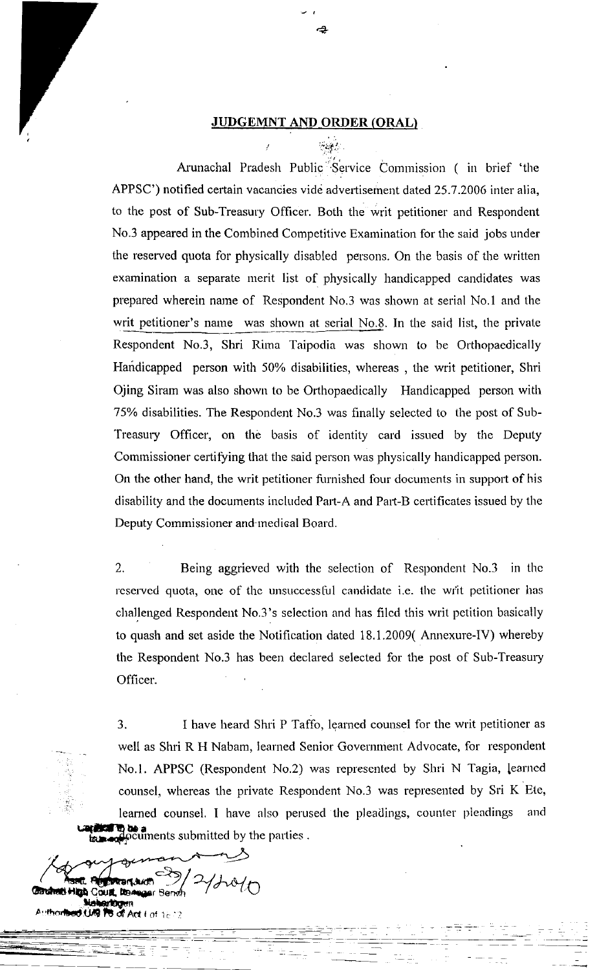#### JUDGEMNT AND ORDER (ORAL)

 $"$  is the .

**2** 

Arunachal Pradesh Public Service Commission ( in brief 'the APPSC') notified certain vacancies vide advertisement dated 25.7.2006 inter alia, to the post of Sub-Treasury Officer. Both the writ petitioner and Respondent No.3 appeared in the Combined Competitive Examination for the said jobs under the reserved quota for physically disabled persons. On the basis of the written examination a separate merit list of physically handicapped candidates was prepared wherein name of Respondent No.3 was shown at serial No.1 and the writ petitioner's name was shown at serial No.8. In the said list, the private Respondent No.3, Shri Rima Taipodia was shown to be Orthopaedically Handicapped person with 50% disabilities, whereas , the writ petitioner, Shri Ojing Sirarn was also shown to be Orthopaedically Handicapped person with 75% disabilities. The Respondent No.3 was finally selected to the post of Sub-Treasury Officer, on the basis of identity card issued by the Deputy Commissioner certifying that the said person was physically handicapped person. On the other hand, the writ petitioner furnished four documents in support of his disability and the docurnents included Part-A and Part-B certificates issued by the Deputy Commissioner and medical Board.

2. Being aggrieved with the selection of Respondent No.3 in the reserved quota, one of the unsuccessful candidate i.e. the writ petitioner has challenged Respondent No.3's selection and has filed this writ petition basically to quash and set aside the Notification dated 18.1.2009( Annexure-IV) whereby the Respondent No.3 has been declared selected for the post of Sub-Treasury Officer.

3. I have heard Shri P Taffo, learned counsel for the writ petitioner as well as Shri R H Nabam, learned Senior Government Advocate, for respondent No.1. APPSC (Respondent No.2) was represented by Shri N Tagia, learned counsel, whereas the private Respondent No.3 was represented by Sri K Ete, learned counsel. I have also perused the pleadings, counter pleadings and urteflorati en los a culments submitted by the parties.

rt.tudi Gouat Insa And  $Imt$  is  $22$  $\frac{2}{10}$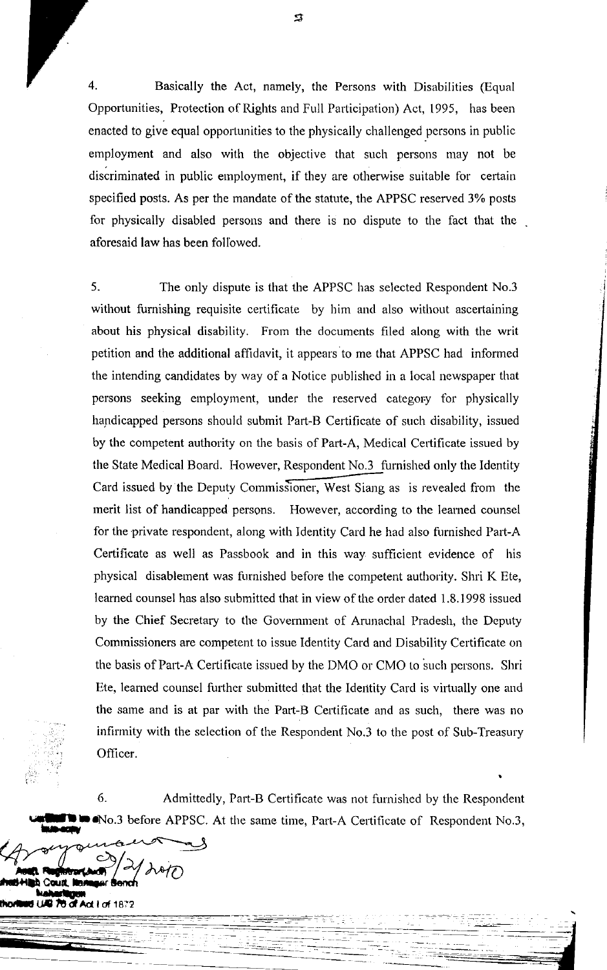$\overline{4}$ . Basically the Act, namely, the Persons with Disabilities (Equal Opportunities, Protection of Rights and Full Participation) Act, 1995, has been enacted to give equal opportunities to the physically challenged persons in public employment and also with the objective that such persons may not be discriminated in public employment, if they are otherwise suitable for certain specified posts. As per the mandate of the statute, the APPSC reserved 3% posts for physically disabled persons and there is no dispute to the fact that the aforesaid law has been followed.

5. The only dispute is that the APPSC has selected Respondent No.3 without furnishing requisite certificate by him and also without ascertaining about his physical disability. From the documents filed along with the writ petition and the additional affidavit, it appears to me that APPSC had informed the intending candidates by way of a Notice published in a local newspaper that persons seeking employment, under the reserved category for physically handicapped persons should submit Part-B Certificate of such disability, issued by the competent authority on the basis of Part-A, Medical Certificate issued by the State Medical Board. However, Respondent No.3 furnished only the Identity Card issued by the Deputy Commissioner, West Siang as is revealed from the merit list of handicapped persons. However, according to the learned counsel for the private respondent, along with Identity Card he had also furnished Part-A Certificate as well as Passbook and in this way sufficient evidence of his physical disablement was furnished before the competent authority. Shri K Ete, learned counsel has also submitted that in view of the order dated 1.8.1998 issued by the Chief Secretary to the Government of Arunachal Pradesh, the Deputy Commissioners are competent to issue Identity Card and Disability Certificate on the basis of Part-A Certificate issued by the DMO or CMO to such persons. Shri Ete, learned counsel further submitted that the Identity Card is virtually one and the same and is at par with the Part-B Certificate and as such, there was no infirmity with the selection of the Respondent No.3 to the post of Sub-Treasury Officer.

6. Admittedly, Part-B Certificate was not furnished by the Respondent No.3 before APPSC. At the same time, Part-A Certificate of Respondent No.3,

 $H$  of 1872

 $\mathfrak{D}$